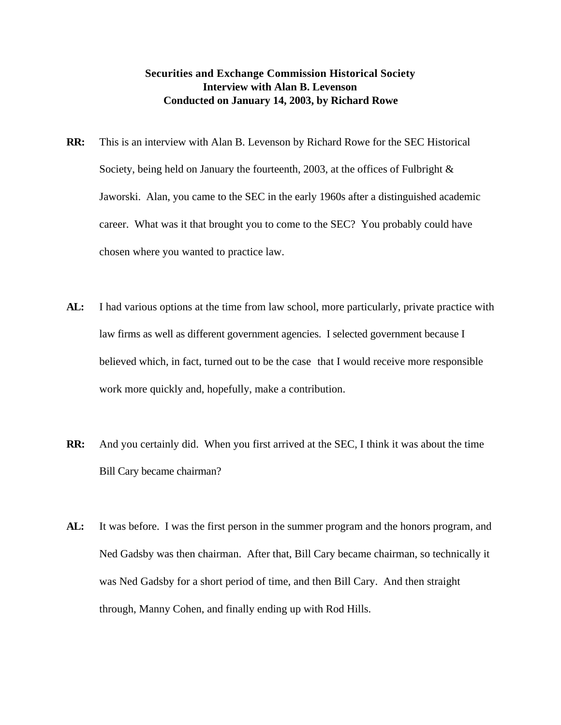## **Securities and Exchange Commission Historical Society Interview with Alan B. Levenson Conducted on January 14, 2003, by Richard Rowe**

- **RR:** This is an interview with Alan B. Levenson by Richard Rowe for the SEC Historical Society, being held on January the fourteenth, 2003, at the offices of Fulbright & Jaworski. Alan, you came to the SEC in the early 1960s after a distinguished academic career. What was it that brought you to come to the SEC? You probably could have chosen where you wanted to practice law.
- AL: I had various options at the time from law school, more particularly, private practice with law firms as well as different government agencies. I selected government because I believed which, in fact, turned out to be the case that I would receive more responsible work more quickly and, hopefully, make a contribution.
- **RR:** And you certainly did. When you first arrived at the SEC, I think it was about the time Bill Cary became chairman?
- **AL:** It was before. I was the first person in the summer program and the honors program, and Ned Gadsby was then chairman. After that, Bill Cary became chairman, so technically it was Ned Gadsby for a short period of time, and then Bill Cary. And then straight through, Manny Cohen, and finally ending up with Rod Hills.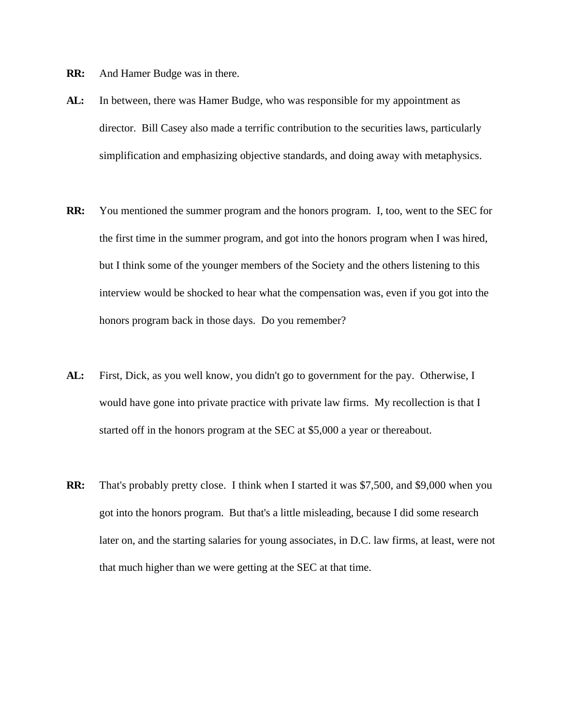- **RR:** And Hamer Budge was in there.
- **AL:** In between, there was Hamer Budge, who was responsible for my appointment as director. Bill Casey also made a terrific contribution to the securities laws, particularly simplification and emphasizing objective standards, and doing away with metaphysics.
- **RR:** You mentioned the summer program and the honors program. I, too, went to the SEC for the first time in the summer program, and got into the honors program when I was hired, but I think some of the younger members of the Society and the others listening to this interview would be shocked to hear what the compensation was, even if you got into the honors program back in those days. Do you remember?
- **AL:** First, Dick, as you well know, you didn't go to government for the pay. Otherwise, I would have gone into private practice with private law firms. My recollection is that I started off in the honors program at the SEC at \$5,000 a year or thereabout.
- **RR:** That's probably pretty close. I think when I started it was \$7,500, and \$9,000 when you got into the honors program. But that's a little misleading, because I did some research later on, and the starting salaries for young associates, in D.C. law firms, at least, were not that much higher than we were getting at the SEC at that time.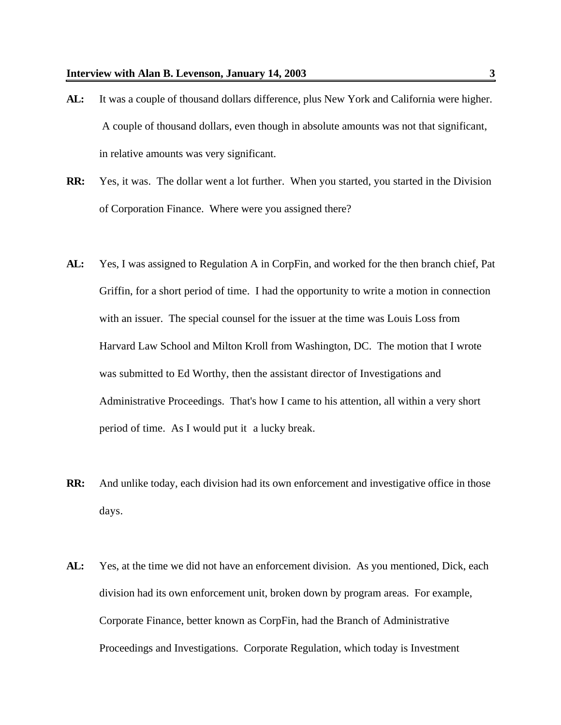- **AL:** It was a couple of thousand dollars difference, plus New York and California were higher. A couple of thousand dollars, even though in absolute amounts was not that significant, in relative amounts was very significant.
- **RR:** Yes, it was. The dollar went a lot further. When you started, you started in the Division of Corporation Finance. Where were you assigned there?
- **AL:** Yes, I was assigned to Regulation A in CorpFin, and worked for the then branch chief, Pat Griffin, for a short period of time. I had the opportunity to write a motion in connection with an issuer. The special counsel for the issuer at the time was Louis Loss from Harvard Law School and Milton Kroll from Washington, DC. The motion that I wrote was submitted to Ed Worthy, then the assistant director of Investigations and Administrative Proceedings. That's how I came to his attention, all within a very short period of time. As I would put it a lucky break.
- **RR:** And unlike today, each division had its own enforcement and investigative office in those days.
- **AL:** Yes, at the time we did not have an enforcement division. As you mentioned, Dick, each division had its own enforcement unit, broken down by program areas. For example, Corporate Finance, better known as CorpFin, had the Branch of Administrative Proceedings and Investigations. Corporate Regulation, which today is Investment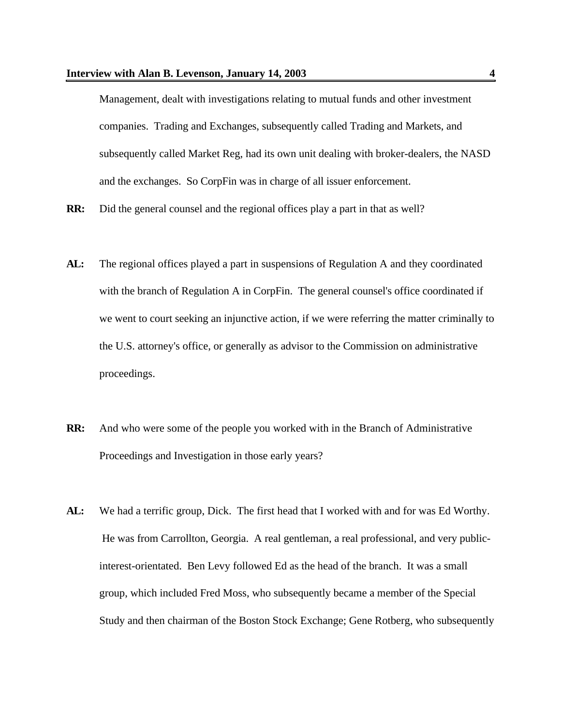Management, dealt with investigations relating to mutual funds and other investment companies. Trading and Exchanges, subsequently called Trading and Markets, and subsequently called Market Reg, had its own unit dealing with broker-dealers, the NASD and the exchanges. So CorpFin was in charge of all issuer enforcement.

- **RR:** Did the general counsel and the regional offices play a part in that as well?
- **AL:** The regional offices played a part in suspensions of Regulation A and they coordinated with the branch of Regulation A in CorpFin. The general counsel's office coordinated if we went to court seeking an injunctive action, if we were referring the matter criminally to the U.S. attorney's office, or generally as advisor to the Commission on administrative proceedings.
- **RR:** And who were some of the people you worked with in the Branch of Administrative Proceedings and Investigation in those early years?
- **AL:** We had a terrific group, Dick. The first head that I worked with and for was Ed Worthy. He was from Carrollton, Georgia. A real gentleman, a real professional, and very publicinterest-orientated. Ben Levy followed Ed as the head of the branch. It was a small group, which included Fred Moss, who subsequently became a member of the Special Study and then chairman of the Boston Stock Exchange; Gene Rotberg, who subsequently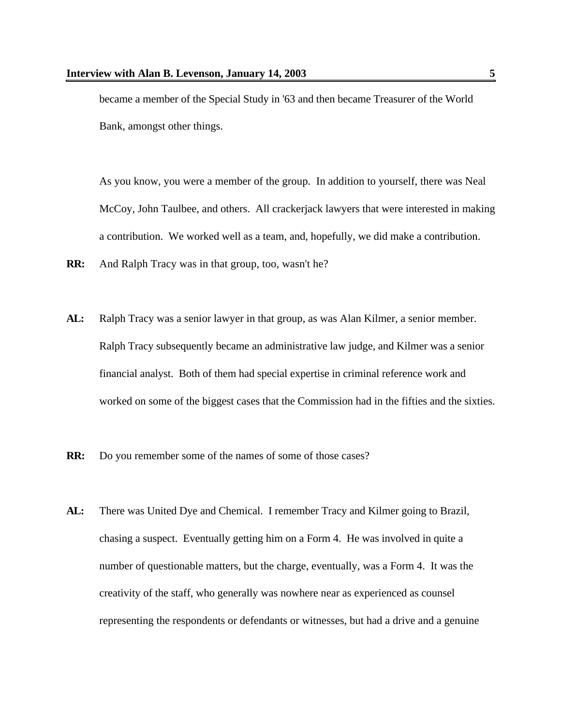became a member of the Special Study in '63 and then became Treasurer of the World Bank, amongst other things.

As you know, you were a member of the group. In addition to yourself, there was Neal McCoy, John Taulbee, and others. All crackerjack lawyers that were interested in making a contribution. We worked well as a team, and, hopefully, we did make a contribution.

- **RR:** And Ralph Tracy was in that group, too, wasn't he?
- **AL:** Ralph Tracy was a senior lawyer in that group, as was Alan Kilmer, a senior member. Ralph Tracy subsequently became an administrative law judge, and Kilmer was a senior financial analyst. Both of them had special expertise in criminal reference work and worked on some of the biggest cases that the Commission had in the fifties and the sixties.
- **RR:** Do you remember some of the names of some of those cases?
- **AL:** There was United Dye and Chemical. I remember Tracy and Kilmer going to Brazil, chasing a suspect. Eventually getting him on a Form 4. He was involved in quite a number of questionable matters, but the charge, eventually, was a Form 4. It was the creativity of the staff, who generally was nowhere near as experienced as counsel representing the respondents or defendants or witnesses, but had a drive and a genuine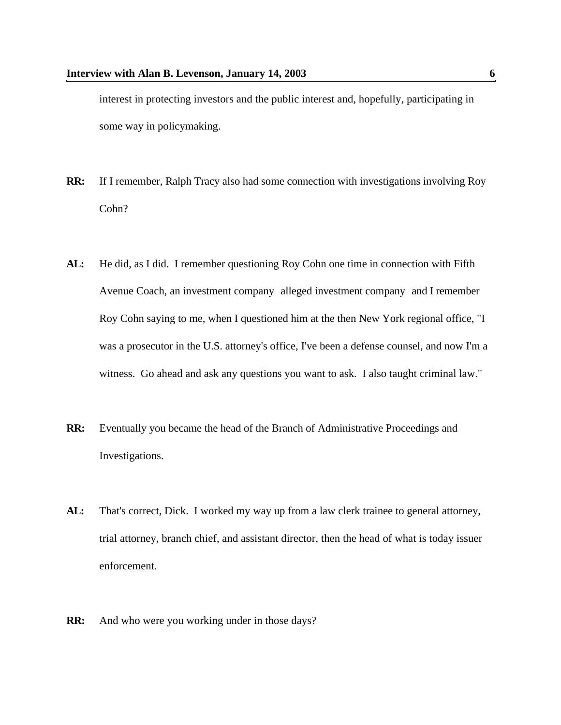interest in protecting investors and the public interest and, hopefully, participating in some way in policymaking.

- **RR:** If I remember, Ralph Tracy also had some connection with investigations involving Roy Cohn?
- **AL:** He did, as I did. I remember questioning Roy Cohn one time in connection with Fifth Avenue Coach, an investment company alleged investment company and I remember Roy Cohn saying to me, when I questioned him at the then New York regional office, "I was a prosecutor in the U.S. attorney's office, I've been a defense counsel, and now I'm a witness. Go ahead and ask any questions you want to ask. I also taught criminal law."
- **RR:** Eventually you became the head of the Branch of Administrative Proceedings and Investigations.
- AL: That's correct, Dick. I worked my way up from a law clerk trainee to general attorney, trial attorney, branch chief, and assistant director, then the head of what is today issuer enforcement.
- **RR:** And who were you working under in those days?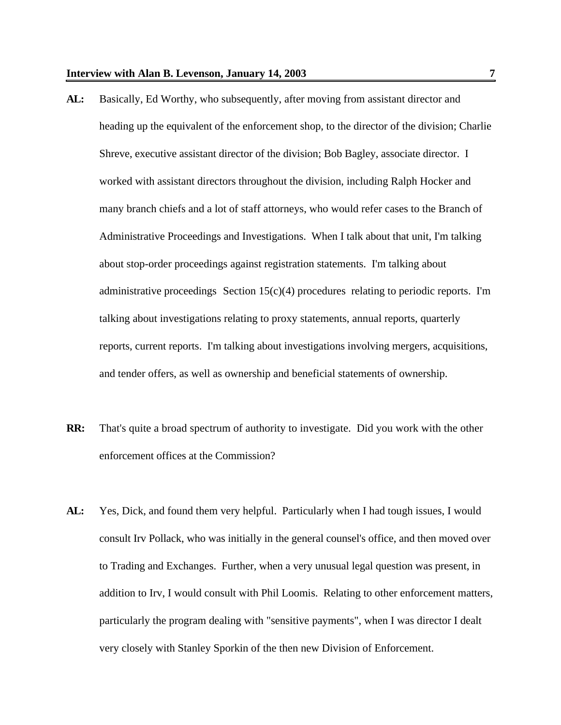- **AL:** Basically, Ed Worthy, who subsequently, after moving from assistant director and heading up the equivalent of the enforcement shop, to the director of the division; Charlie Shreve, executive assistant director of the division; Bob Bagley, associate director. I worked with assistant directors throughout the division, including Ralph Hocker and many branch chiefs and a lot of staff attorneys, who would refer cases to the Branch of Administrative Proceedings and Investigations. When I talk about that unit, I'm talking about stop-order proceedings against registration statements. I'm talking about administrative proceedings Section  $15(c)(4)$  procedures relating to periodic reports. I'm talking about investigations relating to proxy statements, annual reports, quarterly reports, current reports. I'm talking about investigations involving mergers, acquisitions, and tender offers, as well as ownership and beneficial statements of ownership.
- **RR:** That's quite a broad spectrum of authority to investigate. Did you work with the other enforcement offices at the Commission?
- **AL:** Yes, Dick, and found them very helpful. Particularly when I had tough issues, I would consult Irv Pollack, who was initially in the general counsel's office, and then moved over to Trading and Exchanges. Further, when a very unusual legal question was present, in addition to Irv, I would consult with Phil Loomis. Relating to other enforcement matters, particularly the program dealing with "sensitive payments", when I was director I dealt very closely with Stanley Sporkin of the then new Division of Enforcement.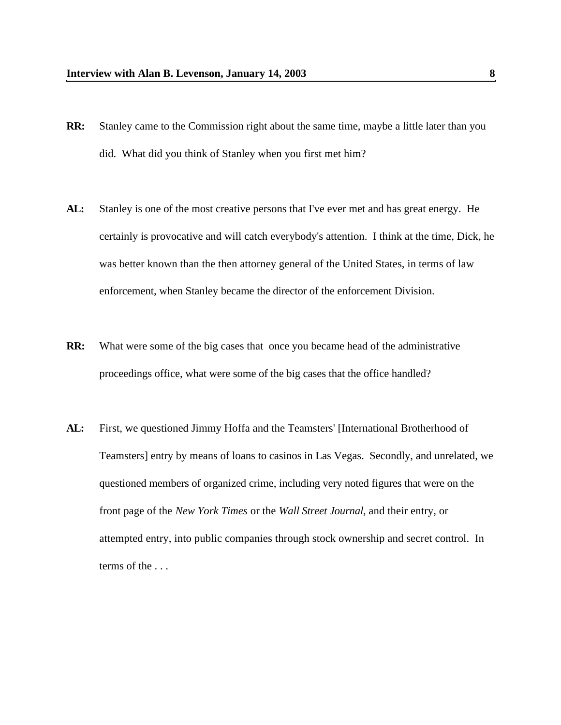- **RR:** Stanley came to the Commission right about the same time, maybe a little later than you did. What did you think of Stanley when you first met him?
- **AL:** Stanley is one of the most creative persons that I've ever met and has great energy. He certainly is provocative and will catch everybody's attention. I think at the time, Dick, he was better known than the then attorney general of the United States, in terms of law enforcement, when Stanley became the director of the enforcement Division.
- **RR:** What were some of the big cases that once you became head of the administrative proceedings office, what were some of the big cases that the office handled?
- AL: First, we questioned Jimmy Hoffa and the Teamsters' [International Brotherhood of Teamsters] entry by means of loans to casinos in Las Vegas. Secondly, and unrelated, we questioned members of organized crime, including very noted figures that were on the front page of the *New York Times* or the *Wall Street Journal,* and their entry, or attempted entry, into public companies through stock ownership and secret control. In terms of the . . .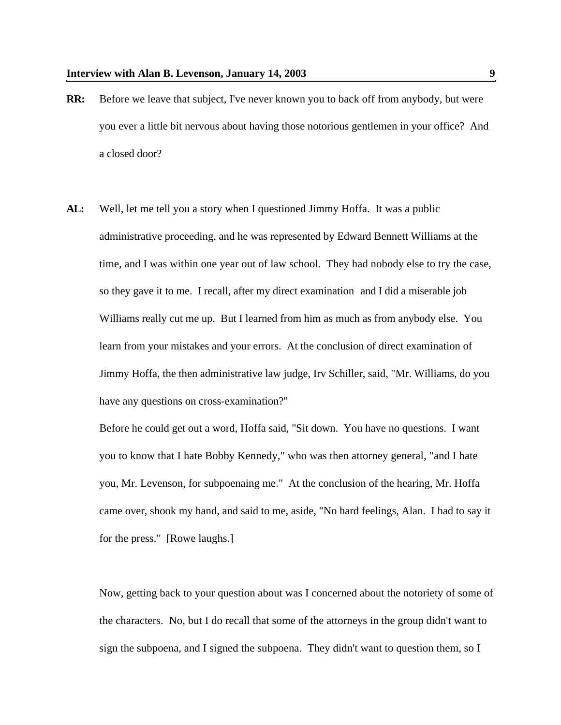- **RR:** Before we leave that subject, I've never known you to back off from anybody, but were you ever a little bit nervous about having those notorious gentlemen in your office? And a closed door?
- **AL:** Well, let me tell you a story when I questioned Jimmy Hoffa. It was a public administrative proceeding, and he was represented by Edward Bennett Williams at the time, and I was within one year out of law school. They had nobody else to try the case, so they gave it to me. I recall, after my direct examination and I did a miserable job Williams really cut me up. But I learned from him as much as from anybody else. You learn from your mistakes and your errors. At the conclusion of direct examination of Jimmy Hoffa, the then administrative law judge, Irv Schiller, said, "Mr. Williams, do you have any questions on cross-examination?"

Before he could get out a word, Hoffa said, "Sit down. You have no questions. I want you to know that I hate Bobby Kennedy," who was then attorney general, "and I hate you, Mr. Levenson, for subpoenaing me." At the conclusion of the hearing, Mr. Hoffa came over, shook my hand, and said to me, aside, "No hard feelings, Alan. I had to say it for the press." [Rowe laughs.]

Now, getting back to your question about was I concerned about the notoriety of some of the characters. No, but I do recall that some of the attorneys in the group didn't want to sign the subpoena, and I signed the subpoena. They didn't want to question them, so I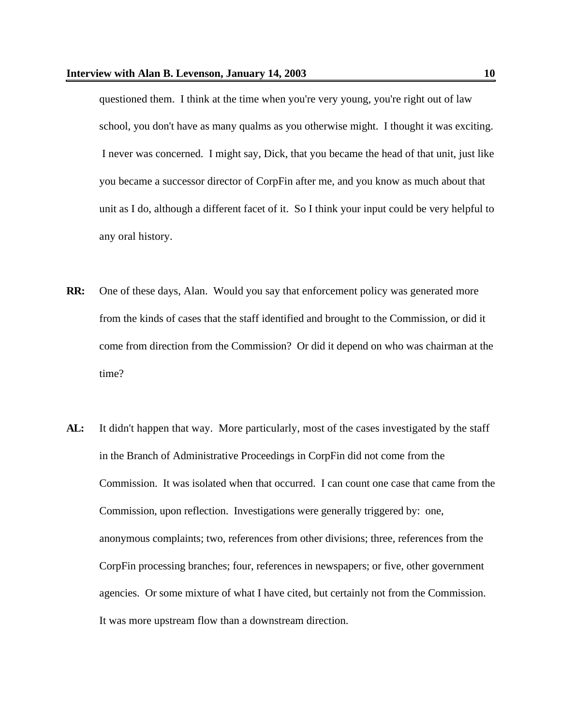questioned them. I think at the time when you're very young, you're right out of law school, you don't have as many qualms as you otherwise might. I thought it was exciting. I never was concerned. I might say, Dick, that you became the head of that unit, just like you became a successor director of CorpFin after me, and you know as much about that unit as I do, although a different facet of it. So I think your input could be very helpful to any oral history.

- **RR:** One of these days, Alan. Would you say that enforcement policy was generated more from the kinds of cases that the staff identified and brought to the Commission, or did it come from direction from the Commission? Or did it depend on who was chairman at the time?
- **AL:** It didn't happen that way. More particularly, most of the cases investigated by the staff in the Branch of Administrative Proceedings in CorpFin did not come from the Commission. It was isolated when that occurred. I can count one case that came from the Commission, upon reflection. Investigations were generally triggered by: one, anonymous complaints; two, references from other divisions; three, references from the CorpFin processing branches; four, references in newspapers; or five, other government agencies. Or some mixture of what I have cited, but certainly not from the Commission. It was more upstream flow than a downstream direction.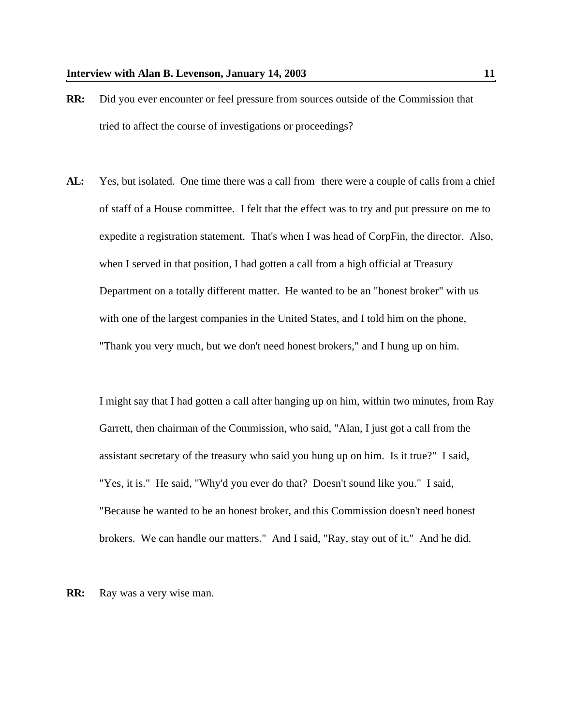- **RR:** Did you ever encounter or feel pressure from sources outside of the Commission that tried to affect the course of investigations or proceedings?
- AL: Yes, but isolated. One time there was a call from there were a couple of calls from a chief of staff of a House committee. I felt that the effect was to try and put pressure on me to expedite a registration statement. That's when I was head of CorpFin, the director. Also, when I served in that position, I had gotten a call from a high official at Treasury Department on a totally different matter. He wanted to be an "honest broker" with us with one of the largest companies in the United States, and I told him on the phone, "Thank you very much, but we don't need honest brokers," and I hung up on him.

I might say that I had gotten a call after hanging up on him, within two minutes, from Ray Garrett, then chairman of the Commission, who said, "Alan, I just got a call from the assistant secretary of the treasury who said you hung up on him. Is it true?" I said, "Yes, it is." He said, "Why'd you ever do that? Doesn't sound like you." I said, "Because he wanted to be an honest broker, and this Commission doesn't need honest brokers. We can handle our matters." And I said, "Ray, stay out of it." And he did.

**RR:** Ray was a very wise man.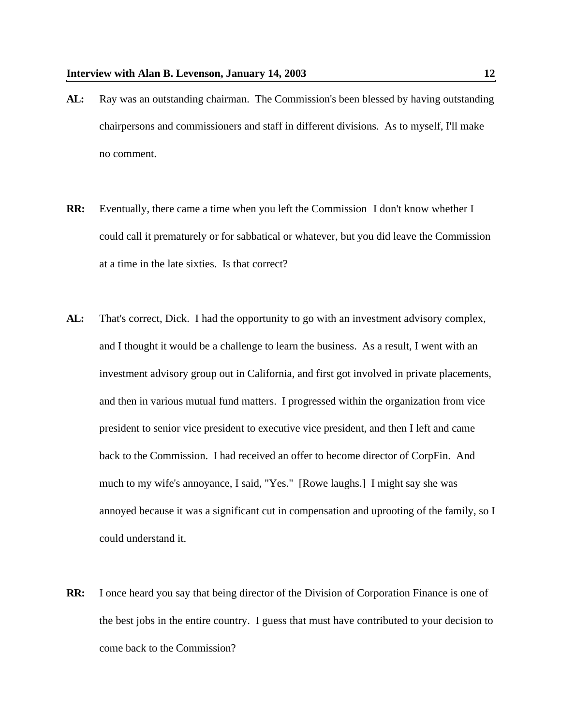- **AL:** Ray was an outstanding chairman. The Commission's been blessed by having outstanding chairpersons and commissioners and staff in different divisions. As to myself, I'll make no comment.
- **RR:** Eventually, there came a time when you left the Commission I don't know whether I could call it prematurely or for sabbatical or whatever, but you did leave the Commission at a time in the late sixties. Is that correct?
- **AL:** That's correct, Dick. I had the opportunity to go with an investment advisory complex, and I thought it would be a challenge to learn the business. As a result, I went with an investment advisory group out in California, and first got involved in private placements, and then in various mutual fund matters. I progressed within the organization from vice president to senior vice president to executive vice president, and then I left and came back to the Commission. I had received an offer to become director of CorpFin. And much to my wife's annoyance, I said, "Yes." [Rowe laughs.] I might say she was annoyed because it was a significant cut in compensation and uprooting of the family, so I could understand it.
- **RR:** I once heard you say that being director of the Division of Corporation Finance is one of the best jobs in the entire country. I guess that must have contributed to your decision to come back to the Commission?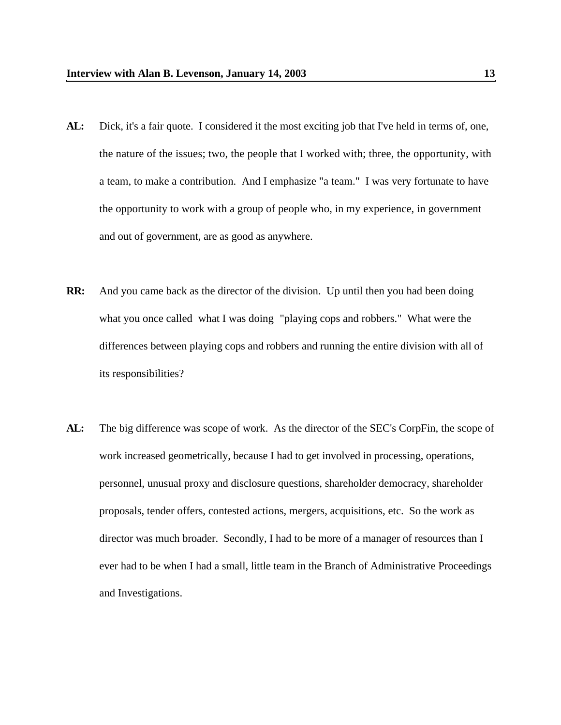- **AL:** Dick, it's a fair quote. I considered it the most exciting job that I've held in terms of, one, the nature of the issues; two, the people that I worked with; three, the opportunity, with a team, to make a contribution. And I emphasize "a team." I was very fortunate to have the opportunity to work with a group of people who, in my experience, in government and out of government, are as good as anywhere.
- **RR:** And you came back as the director of the division. Up until then you had been doing what you once called what I was doing "playing cops and robbers." What were the differences between playing cops and robbers and running the entire division with all of its responsibilities?
- AL: The big difference was scope of work. As the director of the SEC's CorpFin, the scope of work increased geometrically, because I had to get involved in processing, operations, personnel, unusual proxy and disclosure questions, shareholder democracy, shareholder proposals, tender offers, contested actions, mergers, acquisitions, etc. So the work as director was much broader. Secondly, I had to be more of a manager of resources than I ever had to be when I had a small, little team in the Branch of Administrative Proceedings and Investigations.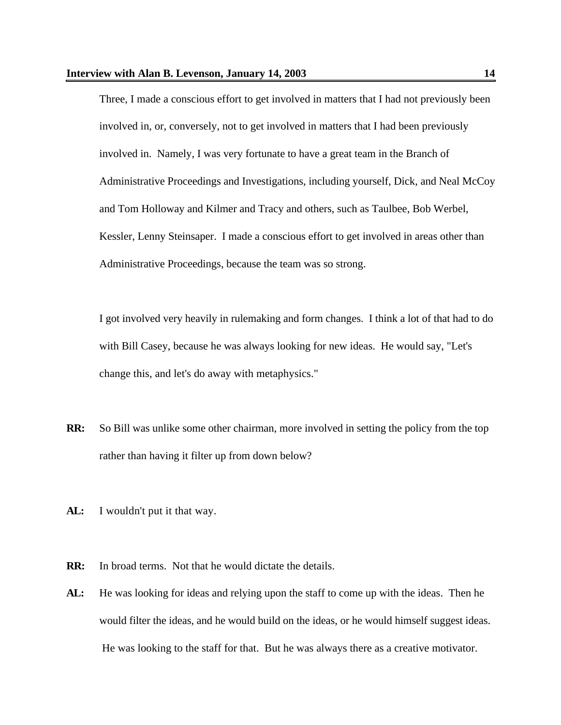Three, I made a conscious effort to get involved in matters that I had not previously been involved in, or, conversely, not to get involved in matters that I had been previously involved in. Namely, I was very fortunate to have a great team in the Branch of Administrative Proceedings and Investigations, including yourself, Dick, and Neal McCoy and Tom Holloway and Kilmer and Tracy and others, such as Taulbee, Bob Werbel, Kessler, Lenny Steinsaper. I made a conscious effort to get involved in areas other than Administrative Proceedings, because the team was so strong.

I got involved very heavily in rulemaking and form changes. I think a lot of that had to do with Bill Casey, because he was always looking for new ideas. He would say, "Let's change this, and let's do away with metaphysics."

- **RR:** So Bill was unlike some other chairman, more involved in setting the policy from the top rather than having it filter up from down below?
- **AL:** I wouldn't put it that way.
- **RR:** In broad terms. Not that he would dictate the details.
- **AL:** He was looking for ideas and relying upon the staff to come up with the ideas. Then he would filter the ideas, and he would build on the ideas, or he would himself suggest ideas. He was looking to the staff for that. But he was always there as a creative motivator.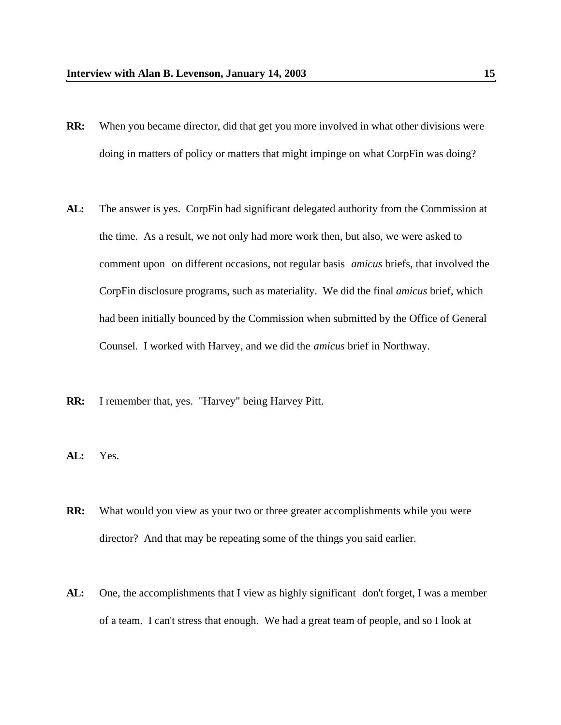- **RR:** When you became director, did that get you more involved in what other divisions were doing in matters of policy or matters that might impinge on what CorpFin was doing?
- **AL:** The answer is yes. CorpFin had significant delegated authority from the Commission at the time. As a result, we not only had more work then, but also, we were asked to comment upon on different occasions, not regular basis *amicus* briefs, that involved the CorpFin disclosure programs, such as materiality. We did the final *amicus* brief, which had been initially bounced by the Commission when submitted by the Office of General Counsel. I worked with Harvey, and we did the *amicus* brief in Northway.
- **RR:** I remember that, yes. "Harvey" being Harvey Pitt.
- **AL:** Yes.
- **RR:** What would you view as your two or three greater accomplishments while you were director? And that may be repeating some of the things you said earlier.
- **AL:** One, the accomplishments that I view as highly significant don't forget, I was a member of a team. I can't stress that enough. We had a great team of people, and so I look at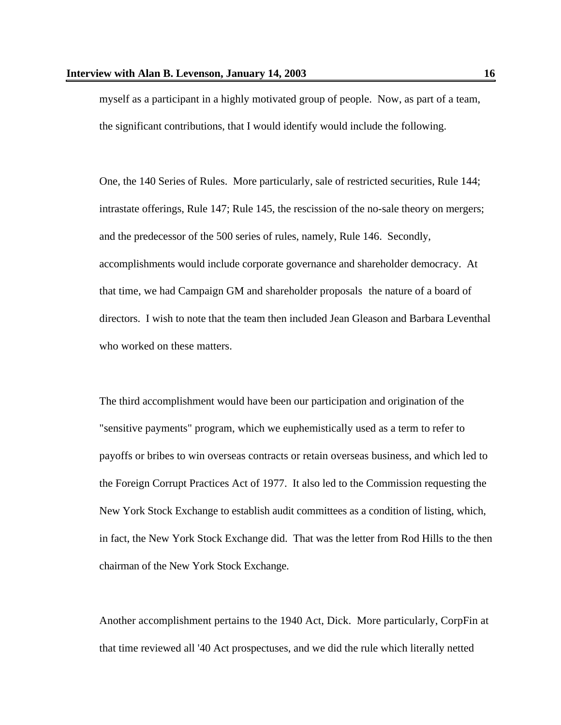myself as a participant in a highly motivated group of people. Now, as part of a team, the significant contributions, that I would identify would include the following.

One, the 140 Series of Rules. More particularly, sale of restricted securities, Rule 144; intrastate offerings, Rule 147; Rule 145, the rescission of the no-sale theory on mergers; and the predecessor of the 500 series of rules, namely, Rule 146. Secondly, accomplishments would include corporate governance and shareholder democracy. At that time, we had Campaign GM and shareholder proposals the nature of a board of directors. I wish to note that the team then included Jean Gleason and Barbara Leventhal who worked on these matters.

The third accomplishment would have been our participation and origination of the "sensitive payments" program, which we euphemistically used as a term to refer to payoffs or bribes to win overseas contracts or retain overseas business, and which led to the Foreign Corrupt Practices Act of 1977. It also led to the Commission requesting the New York Stock Exchange to establish audit committees as a condition of listing, which, in fact, the New York Stock Exchange did. That was the letter from Rod Hills to the then chairman of the New York Stock Exchange.

Another accomplishment pertains to the 1940 Act, Dick. More particularly, CorpFin at that time reviewed all '40 Act prospectuses, and we did the rule which literally netted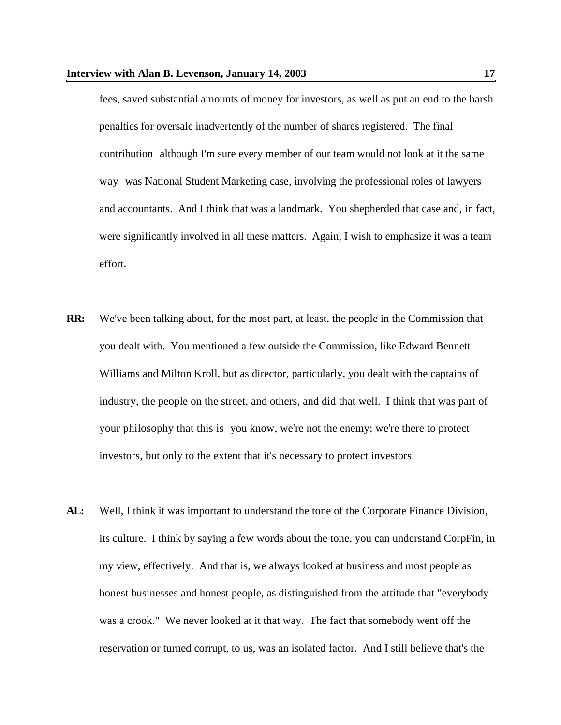fees, saved substantial amounts of money for investors, as well as put an end to the harsh penalties for oversale inadvertently of the number of shares registered. The final contribution although I'm sure every member of our team would not look at it the same way was National Student Marketing case, involving the professional roles of lawyers and accountants. And I think that was a landmark. You shepherded that case and, in fact, were significantly involved in all these matters. Again, I wish to emphasize it was a team effort.

- **RR:** We've been talking about, for the most part, at least, the people in the Commission that you dealt with. You mentioned a few outside the Commission, like Edward Bennett Williams and Milton Kroll, but as director, particularly, you dealt with the captains of industry, the people on the street, and others, and did that well. I think that was part of your philosophy that this is you know, we're not the enemy; we're there to protect investors, but only to the extent that it's necessary to protect investors.
- **AL:** Well, I think it was important to understand the tone of the Corporate Finance Division, its culture. I think by saying a few words about the tone, you can understand CorpFin, in my view, effectively. And that is, we always looked at business and most people as honest businesses and honest people, as distinguished from the attitude that "everybody was a crook." We never looked at it that way. The fact that somebody went off the reservation or turned corrupt, to us, was an isolated factor. And I still believe that's the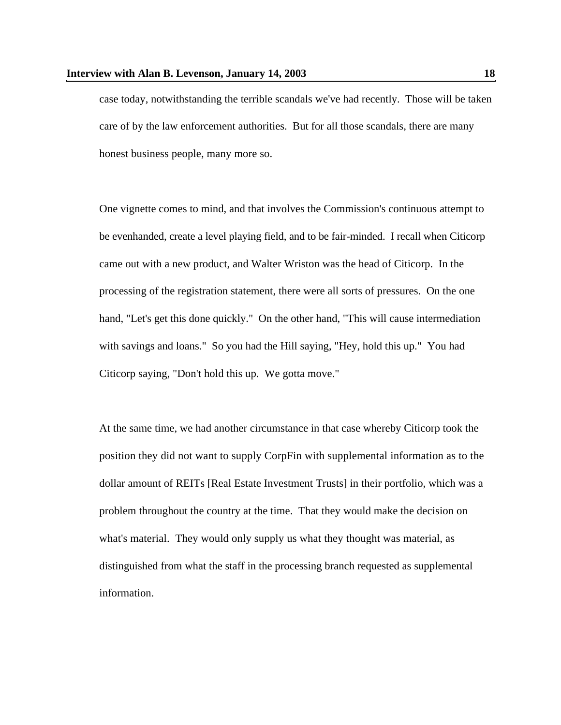case today, notwithstanding the terrible scandals we've had recently. Those will be taken care of by the law enforcement authorities. But for all those scandals, there are many honest business people, many more so.

One vignette comes to mind, and that involves the Commission's continuous attempt to be evenhanded, create a level playing field, and to be fair-minded. I recall when Citicorp came out with a new product, and Walter Wriston was the head of Citicorp. In the processing of the registration statement, there were all sorts of pressures. On the one hand, "Let's get this done quickly." On the other hand, "This will cause intermediation with savings and loans." So you had the Hill saying, "Hey, hold this up." You had Citicorp saying, "Don't hold this up. We gotta move."

At the same time, we had another circumstance in that case whereby Citicorp took the position they did not want to supply CorpFin with supplemental information as to the dollar amount of REITs [Real Estate Investment Trusts] in their portfolio, which was a problem throughout the country at the time. That they would make the decision on what's material. They would only supply us what they thought was material, as distinguished from what the staff in the processing branch requested as supplemental information.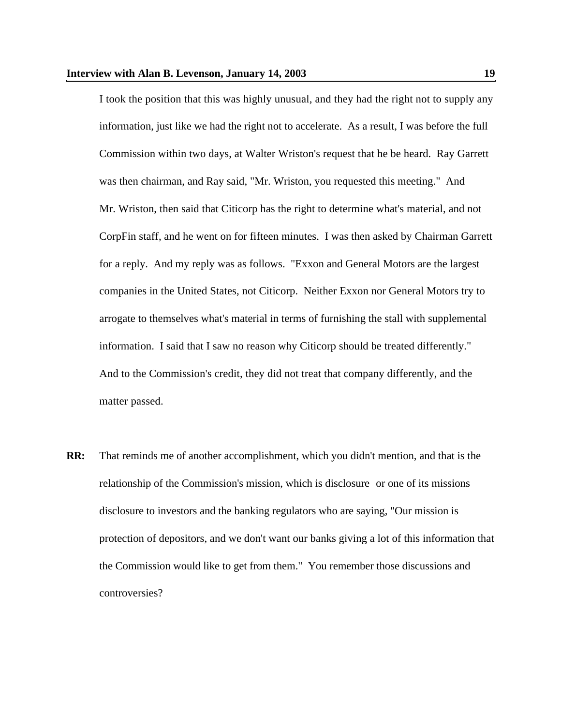I took the position that this was highly unusual, and they had the right not to supply any information, just like we had the right not to accelerate. As a result, I was before the full Commission within two days, at Walter Wriston's request that he be heard. Ray Garrett was then chairman, and Ray said, "Mr. Wriston, you requested this meeting." And Mr. Wriston, then said that Citicorp has the right to determine what's material, and not CorpFin staff, and he went on for fifteen minutes. I was then asked by Chairman Garrett for a reply. And my reply was as follows. "Exxon and General Motors are the largest companies in the United States, not Citicorp. Neither Exxon nor General Motors try to arrogate to themselves what's material in terms of furnishing the stall with supplemental information. I said that I saw no reason why Citicorp should be treated differently." And to the Commission's credit, they did not treat that company differently, and the matter passed.

**RR:** That reminds me of another accomplishment, which you didn't mention, and that is the relationship of the Commission's mission, which is disclosure or one of its missions disclosure to investors and the banking regulators who are saying, "Our mission is protection of depositors, and we don't want our banks giving a lot of this information that the Commission would like to get from them." You remember those discussions and controversies?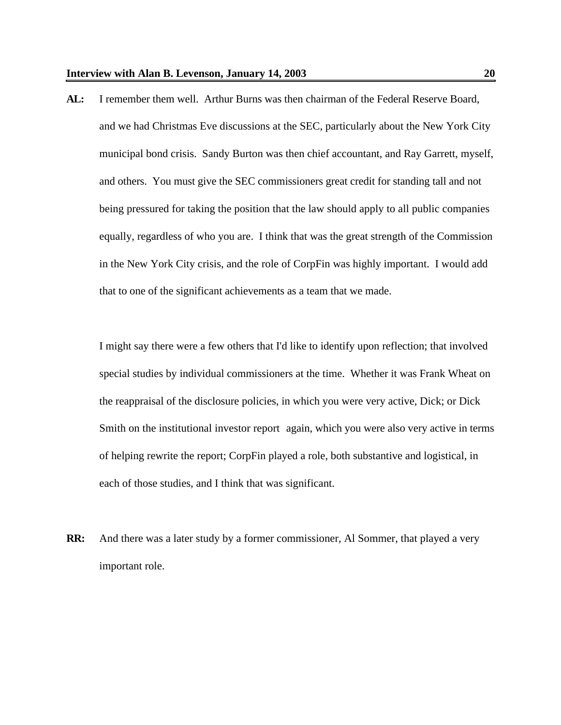**AL:** I remember them well. Arthur Burns was then chairman of the Federal Reserve Board, and we had Christmas Eve discussions at the SEC, particularly about the New York City municipal bond crisis. Sandy Burton was then chief accountant, and Ray Garrett, myself, and others. You must give the SEC commissioners great credit for standing tall and not being pressured for taking the position that the law should apply to all public companies equally, regardless of who you are. I think that was the great strength of the Commission in the New York City crisis, and the role of CorpFin was highly important. I would add that to one of the significant achievements as a team that we made.

I might say there were a few others that I'd like to identify upon reflection; that involved special studies by individual commissioners at the time. Whether it was Frank Wheat on the reappraisal of the disclosure policies, in which you were very active, Dick; or Dick Smith on the institutional investor report again, which you were also very active in terms of helping rewrite the report; CorpFin played a role, both substantive and logistical, in each of those studies, and I think that was significant.

**RR:** And there was a later study by a former commissioner, Al Sommer, that played a very important role.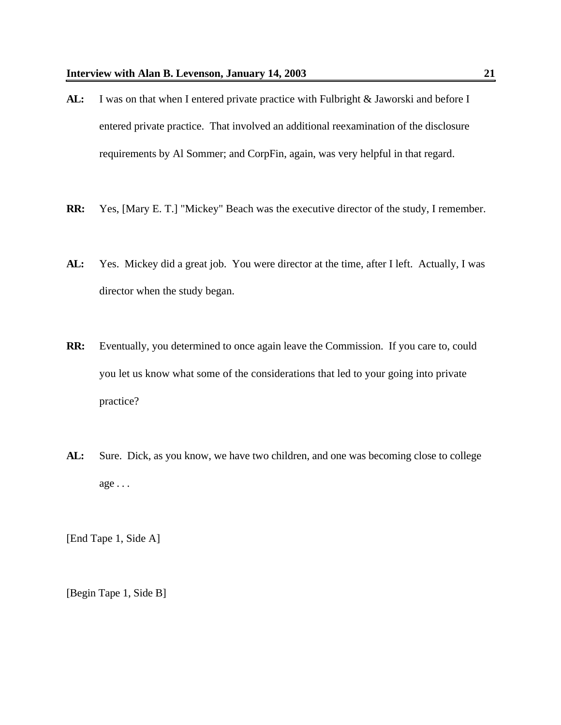- AL: I was on that when I entered private practice with Fulbright & Jaworski and before I entered private practice. That involved an additional reexamination of the disclosure requirements by Al Sommer; and CorpFin, again, was very helpful in that regard.
- **RR:** Yes, [Mary E. T.] "Mickey" Beach was the executive director of the study, I remember.
- **AL:** Yes. Mickey did a great job. You were director at the time, after I left. Actually, I was director when the study began.
- **RR:** Eventually, you determined to once again leave the Commission. If you care to, could you let us know what some of the considerations that led to your going into private practice?
- **AL:** Sure. Dick, as you know, we have two children, and one was becoming close to college  $age \dots$

[End Tape 1, Side A]

[Begin Tape 1, Side B]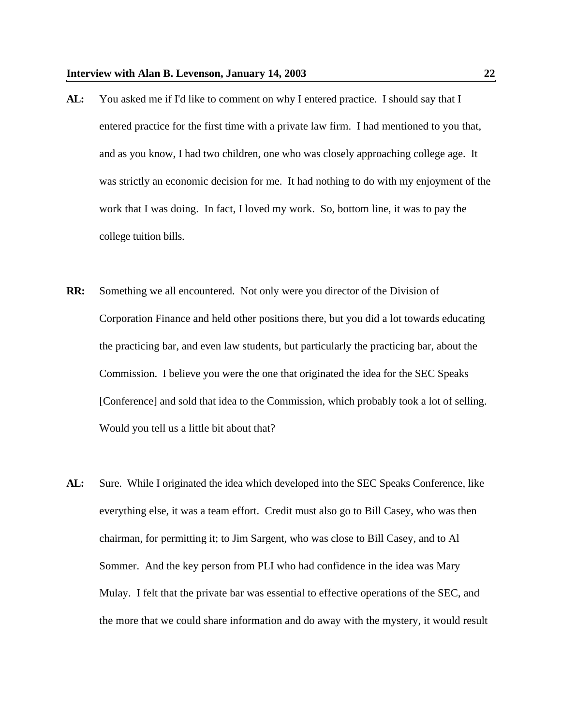- **AL:** You asked me if I'd like to comment on why I entered practice. I should say that I entered practice for the first time with a private law firm. I had mentioned to you that, and as you know, I had two children, one who was closely approaching college age. It was strictly an economic decision for me. It had nothing to do with my enjoyment of the work that I was doing. In fact, I loved my work. So, bottom line, it was to pay the college tuition bills.
- **RR:** Something we all encountered. Not only were you director of the Division of Corporation Finance and held other positions there, but you did a lot towards educating the practicing bar, and even law students, but particularly the practicing bar, about the Commission. I believe you were the one that originated the idea for the SEC Speaks [Conference] and sold that idea to the Commission, which probably took a lot of selling. Would you tell us a little bit about that?
- **AL:** Sure. While I originated the idea which developed into the SEC Speaks Conference, like everything else, it was a team effort. Credit must also go to Bill Casey, who was then chairman, for permitting it; to Jim Sargent, who was close to Bill Casey, and to Al Sommer. And the key person from PLI who had confidence in the idea was Mary Mulay. I felt that the private bar was essential to effective operations of the SEC, and the more that we could share information and do away with the mystery, it would result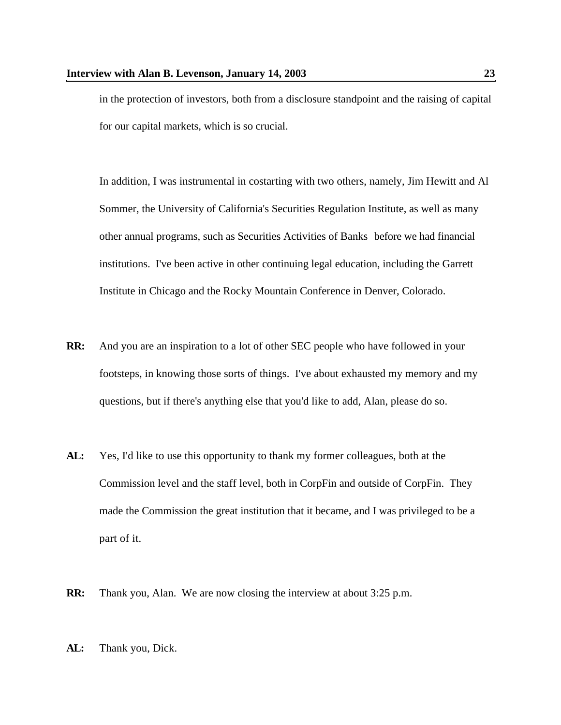in the protection of investors, both from a disclosure standpoint and the raising of capital for our capital markets, which is so crucial.

In addition, I was instrumental in costarting with two others, namely, Jim Hewitt and Al Sommer, the University of California's Securities Regulation Institute, as well as many other annual programs, such as Securities Activities of Banks before we had financial institutions. I've been active in other continuing legal education, including the Garrett Institute in Chicago and the Rocky Mountain Conference in Denver, Colorado.

- **RR:** And you are an inspiration to a lot of other SEC people who have followed in your footsteps, in knowing those sorts of things. I've about exhausted my memory and my questions, but if there's anything else that you'd like to add, Alan, please do so.
- **AL:** Yes, I'd like to use this opportunity to thank my former colleagues, both at the Commission level and the staff level, both in CorpFin and outside of CorpFin. They made the Commission the great institution that it became, and I was privileged to be a part of it.
- **RR:** Thank you, Alan. We are now closing the interview at about 3:25 p.m.
- **AL:** Thank you, Dick.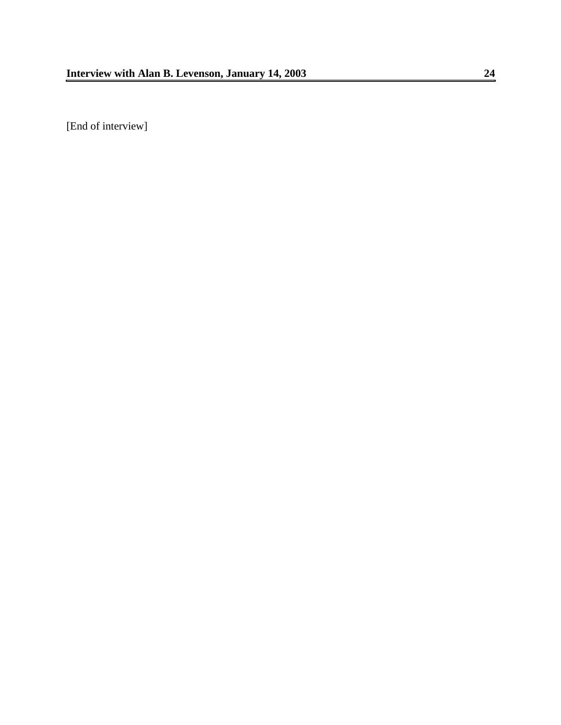[End of interview]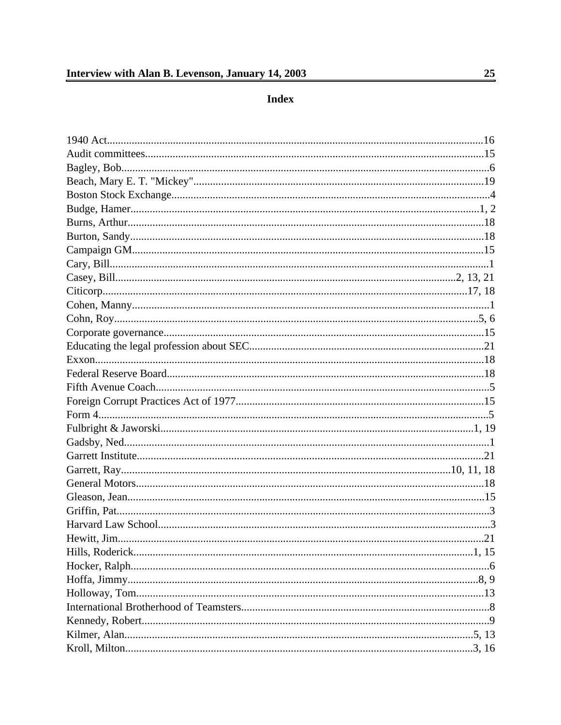Index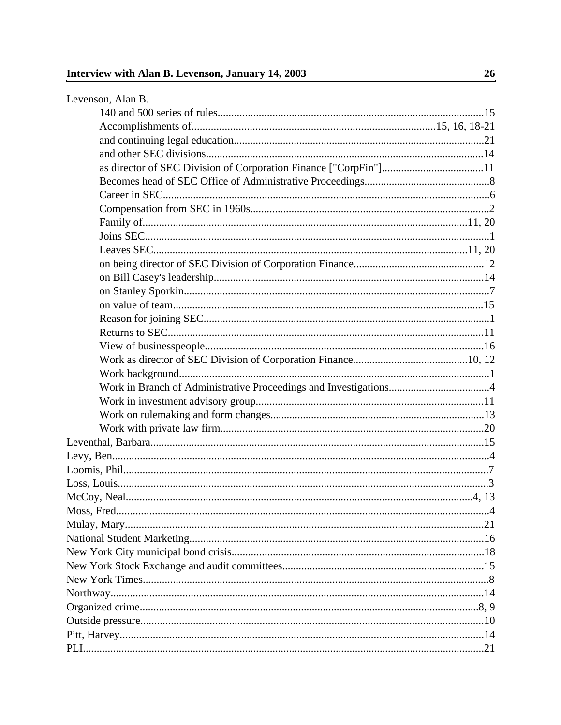| as director of SEC Division of Corporation Finance ["CorpFin"]11 |  |
|------------------------------------------------------------------|--|
|                                                                  |  |
|                                                                  |  |
|                                                                  |  |
|                                                                  |  |
|                                                                  |  |
|                                                                  |  |
|                                                                  |  |
|                                                                  |  |
|                                                                  |  |
|                                                                  |  |
|                                                                  |  |
|                                                                  |  |
|                                                                  |  |
|                                                                  |  |
|                                                                  |  |
|                                                                  |  |
|                                                                  |  |
|                                                                  |  |
|                                                                  |  |
|                                                                  |  |
|                                                                  |  |
|                                                                  |  |
|                                                                  |  |
|                                                                  |  |
|                                                                  |  |
|                                                                  |  |
|                                                                  |  |
|                                                                  |  |
|                                                                  |  |
|                                                                  |  |
|                                                                  |  |
|                                                                  |  |
|                                                                  |  |
|                                                                  |  |
|                                                                  |  |